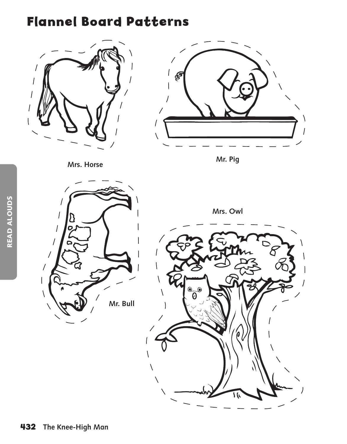## **Flannel Board Patterns**





 $\prime$ 

 $\overline{\phantom{a}}$ 

 $\overline{\phantom{a}}$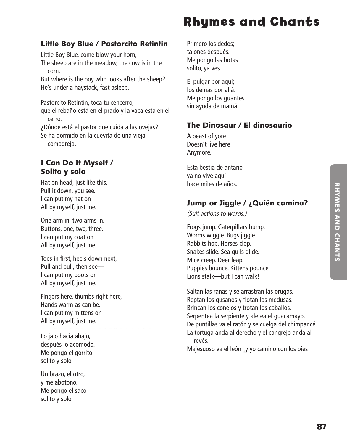# **RHYNES AND CHANTS** RHYMES AND CHANTS

## **Rhymes and Chants hymes**

#### Little Boy Blue / Pastorcito Retintín

Little Boy Blue, come blow your horn,

The sheep are in the meadow, the cow is in the corn.

But where is the boy who looks after the sheep? He's under a haystack, fast asleep.

Pastorcito Retintín, toca tu cencerro,

que el rebaño está en el prado y la vaca está en el cerro.

¿Dónde está el pastor que cuida a las ovejas? Se ha dormido en la cuevita de una vieja comadreja.

#### I Can Do It Myself / Solito y solo

Hat on head, just like this. Pull it down, you see. I can put my hat on All by myself, just me.

One arm in, two arms in, Buttons, one, two, three. I can put my coat on All by myself, just me.

Toes in first, heels down next, Pull and pull, then see— I can put my boots on All by myself, just me.

Fingers here, thumbs right here, Hands warm as can be. I can put my mittens on All by myself, just me.

Lo jalo hacia abajo, después lo acomodo. Me pongo el gorrito solito y solo.

Un brazo, el otro, y me abotono. Me pongo el saco solito y solo.

Primero los dedos; talones después. Me pongo las botas solito, ya ves.

El pulgar por aquí; los demás por allá. Me pongo los guantes sin ayuda de mamá.

#### The Dinosaur / El dinosaurio

A beast of yore Doesn't live here Anymore.

Esta bestia de antaño ya no vive aquí hace miles de años.

#### Jump or Jiggle / ¿Quíén camina?

*(Suit actions to words.)*

Frogs jump. Caterpillars hump. Worms wiggle. Bugs jiggle. Rabbits hop. Horses clop. Snakes slide. Sea gulls glide. Mice creep. Deer leap. Puppies bounce. Kittens pounce. Lions stalk—but I can walk!

Saltan las ranas y se arrastran las orugas. Reptan los gusanos y flotan las medusas. Brincan los conejos y trotan los caballos. Serpentea la serpiente y aletea el guacamayo. De puntillas va el ratón y se cuelga del chimpancé. La tortuga anda al derecho y el cangrejo anda al revés.

Majesuoso va el león ¡y yo camino con los pies!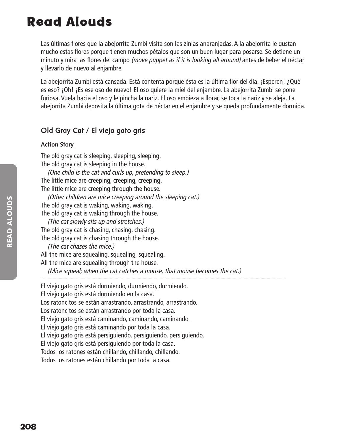## **Read Alouds ead**

Las últimas flores que la abejorrita Zumbi visita son las zinias anaranjadas. A la abejorrita le qustan mucho estas flores porque tienen muchos pétalos que son un buen lugar para posarse. Se detiene un minuto y mira las flores del campo *(move puppet as if it is looking all around)* antes de beber el néctar y llevarlo de nuevo al enjambre.

La abejorrita Zumbi está cansada. Está contenta porque ésta es la última flor del día. ¡Esperen! ¿Qué es eso? ¡Oh! ¡Es ese oso de nuevo! El oso quiere la miel del enjambre. La abejorrita Zumbi se pone furiosa. Vuela hacia el oso y le pincha la nariz. El oso empieza a llorar, se toca la nariz y se aleja. La abejorrita Zumbi deposita la última gota de néctar en el enjambre y se queda profundamente dormida.

#### **Old Gray Cat / El viejo gato gris**

#### **Action Story**

The old gray cat is sleeping, sleeping, sleeping. The old gray cat is sleeping in the house.

*(One child is the cat and curls up, pretending to sleep.)* The little mice are creeping, creeping, creeping. The little mice are creeping through the house.

*(Other children are mice creeping around the sleeping cat.)* The old gray cat is waking, waking, waking. The old gray cat is waking through the house.

*(The cat slowly sits up and stretches.)* The old gray cat is chasing, chasing, chasing. The old gray cat is chasing through the house.

*(The cat chases the mice.)* All the mice are squealing, squealing, squealing. All the mice are squealing through the house.

*(Mice squeal; when the cat catches a mouse, that mouse becomes the cat.)*

El viejo gato gris está durmiendo, durmiendo, durmiendo. El viejo gato gris está durmiendo en la casa. Los ratoncitos se están arrastrando, arrastrando, arrastrando. Los ratoncitos se están arrastrando por toda la casa. El viejo gato gris está caminando, caminando, caminando. El viejo gato gris está caminando por toda la casa. El viejo gato gris está persiguiendo, persiguiendo, persiguiendo. El viejo gato gris está persiguiendo por toda la casa. Todos los ratones están chillando, chillando, chillando. Todos los ratones están chillando por toda la casa.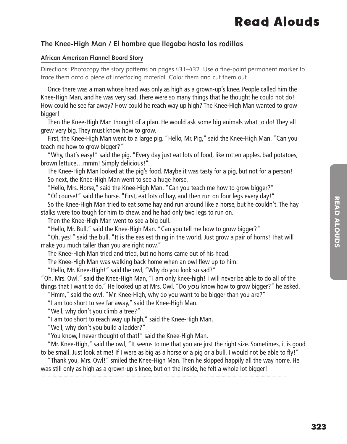## **Read Alouds ead**

#### **The Knee-High Man / El hombre que llegaba hasta las rodillas**

#### **African American Flannel Board Story**

Directions: Photocopy the story patterns on pages 431–432. Use a fine-point permanent marker to trace them onto a piece of interfacing material. Color them and cut them out.

 Once there was a man whose head was only as high as a grown-up's knee. People called him the Knee-High Man, and he was very sad. There were so many things that he thought he could not do! How could he see far away? How could he reach way up high? The Knee-High Man wanted to grow bigger!

 Then the Knee-High Man thought of a plan. He would ask some big animals what to do! They all grew very big. They must know how to grow.

 First, the Knee-High Man went to a large pig. "Hello, Mr. Pig," said the Knee-High Man. "Can you teach me how to grow bigger?"

 "Why, that's easy!" said the pig. "Every day just eat lots of food, like rotten apples, bad potatoes, brown lettuce…mmm! Simply delicious!"

 The Knee-High Man looked at the pig's food. Maybe it was tasty for a pig, but not for a person! So next, the Knee-High Man went to see a huge horse.

"Hello, Mrs. Horse," said the Knee-High Man. "Can you teach me how to grow bigger?"

"Of course!" said the horse. "First, eat lots of hay, and then run on four legs every day!"

 So the Knee-High Man tried to eat some hay and run around like a horse, but he couldn't. The hay stalks were too tough for him to chew, and he had only two legs to run on.

Then the Knee-High Man went to see a big bull.

"Hello, Mr. Bull," said the Knee-High Man. "Can you tell me how to grow bigger?"

 "Oh, yes!" said the bull. "It is the easiest thing in the world. Just grow a pair of horns! That will make you much taller than you are right now."

The Knee-High Man tried and tried, but no horns came out of his head.

The Knee-High Man was walking back home when an owl flew up to him.

"Hello, Mr. Knee-High!" said the owl, "Why do you look so sad?"

"Oh, Mrs. Owl," said the Knee-High Man, "I am only knee-high! I will never be able to do all of the things that I want to do." He looked up at Mrs. Owl. "Do *you* know how to grow bigger?" he asked.

"Hmm," said the owl. "Mr. Knee-High, why do you want to be bigger than you are?"

"I am too short to see far away," said the Knee-High Man.

"Well, why don't you climb a tree?"

"I am too short to reach way up high," said the Knee-High Man.

"Well, why don't you build a ladder?"

"You know, I never thought of that!" said the Knee-High Man.

 "Mr. Knee-High," said the owl, "It seems to me that you are just the right size. Sometimes, it is good to be small. Just look at me! If I were as big as a horse or a pig or a bull, I would not be able to fly!"

 "Thank you, Mrs. Owl!" smiled the Knee-High Man. Then he skipped happily all the way home. He was still only as high as a grown-up's knee, but on the inside, he felt a whole lot bigger!